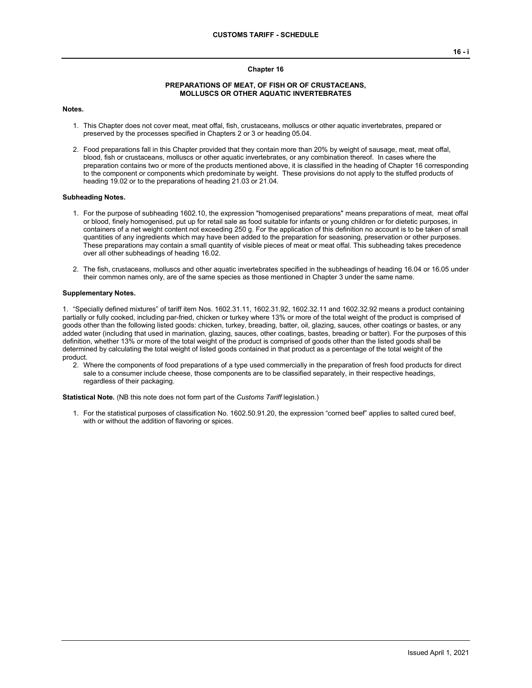### **Chapter 16**

## **PREPARATIONS OF MEAT, OF FISH OR OF CRUSTACEANS, MOLLUSCS OR OTHER AQUATIC INVERTEBRATES**

## **Notes.**

- 1. This Chapter does not cover meat, meat offal, fish, crustaceans, molluscs or other aquatic invertebrates, prepared or preserved by the processes specified in Chapters 2 or 3 or heading 05.04.
- 2. Food preparations fall in this Chapter provided that they contain more than 20% by weight of sausage, meat, meat offal, blood, fish or crustaceans, molluscs or other aquatic invertebrates, or any combination thereof. In cases where the preparation contains two or more of the products mentioned above, it is classified in the heading of Chapter 16 corresponding to the component or components which predominate by weight. These provisions do not apply to the stuffed products of heading 19.02 or to the preparations of heading 21.03 or 21.04.

#### **Subheading Notes.**

- 1. For the purpose of subheading 1602.10, the expression "homogenised preparations" means preparations of meat, meat offal or blood, finely homogenised, put up for retail sale as food suitable for infants or young children or for dietetic purposes, in containers of a net weight content not exceeding 250 g. For the application of this definition no account is to be taken of small quantities of any ingredients which may have been added to the preparation for seasoning, preservation or other purposes. These preparations may contain a small quantity of visible pieces of meat or meat offal. This subheading takes precedence over all other subheadings of heading 16.02.
- 2. The fish, crustaceans, molluscs and other aquatic invertebrates specified in the subheadings of heading 16.04 or 16.05 under their common names only, are of the same species as those mentioned in Chapter 3 under the same name.

#### **Supplementary Notes.**

1. "Specially defined mixtures" of tariff item Nos. 1602.31.11, 1602.31.92, 1602.32.11 and 1602.32.92 means a product containing partially or fully cooked, including par-fried, chicken or turkey where 13% or more of the total weight of the product is comprised of goods other than the following listed goods: chicken, turkey, breading, batter, oil, glazing, sauces, other coatings or bastes, or any added water (including that used in marination, glazing, sauces, other coatings, bastes, breading or batter). For the purposes of this definition, whether 13% or more of the total weight of the product is comprised of goods other than the listed goods shall be determined by calculating the total weight of listed goods contained in that product as a percentage of the total weight of the product.

2. Where the components of food preparations of a type used commercially in the preparation of fresh food products for direct sale to a consumer include cheese, those components are to be classified separately, in their respective headings, regardless of their packaging.

**Statistical Note.** (NB this note does not form part of the *Customs Tariff* legislation.)

1. For the statistical purposes of classification No. 1602.50.91.20, the expression "corned beef" applies to salted cured beef, with or without the addition of flavoring or spices.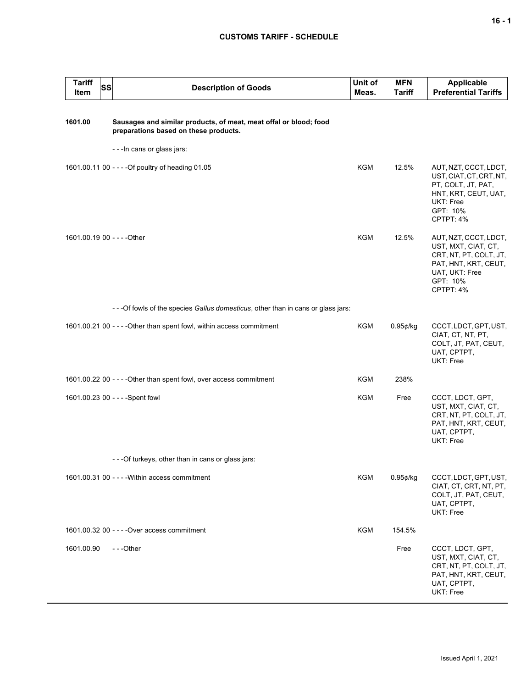# **CUSTOMS TARIFF - SCHEDULE**

| <b>Tariff</b><br>Item       | SS | <b>Description of Goods</b>                                                                                | Unit of<br>Meas. | <b>MFN</b><br><b>Tariff</b> | <b>Applicable</b><br><b>Preferential Tariffs</b>                                                                                          |
|-----------------------------|----|------------------------------------------------------------------------------------------------------------|------------------|-----------------------------|-------------------------------------------------------------------------------------------------------------------------------------------|
| 1601.00                     |    | Sausages and similar products, of meat, meat offal or blood; food<br>preparations based on these products. |                  |                             |                                                                                                                                           |
|                             |    | - - - In cans or glass jars:                                                                               |                  |                             |                                                                                                                                           |
|                             |    | 1601.00.11 00 - - - - Of poultry of heading 01.05                                                          | <b>KGM</b>       | 12.5%                       | AUT, NZT, CCCT, LDCT,<br>UST, CIAT, CT, CRT, NT,<br>PT, COLT, JT, PAT,<br>HNT, KRT, CEUT, UAT,<br>UKT: Free<br>GPT: 10%<br>CPTPT: 4%      |
| 1601.00.19 00 - - - - Other |    |                                                                                                            | <b>KGM</b>       | 12.5%                       | AUT, NZT, CCCT, LDCT,<br>UST, MXT, CIAT, CT,<br>CRT, NT, PT, COLT, JT,<br>PAT, HNT, KRT, CEUT,<br>UAT, UKT: Free<br>GPT: 10%<br>CPTPT: 4% |
|                             |    | - - - Of fowls of the species Gallus domesticus, other than in cans or glass jars:                         |                  |                             |                                                                                                                                           |
|                             |    | 1601.00.21 00 - - - - Other than spent fowl, within access commitment                                      | KGM              | 0.95¢/kg                    | CCCT, LDCT, GPT, UST,<br>CIAT, CT, NT, PT,<br>COLT, JT, PAT, CEUT,<br>UAT, CPTPT,<br>UKT: Free                                            |
|                             |    | 1601.00.22 00 - - - - Other than spent fowl, over access commitment                                        | KGM              | 238%                        |                                                                                                                                           |
|                             |    | 1601.00.23 00 - - - - Spent fowl                                                                           | KGM              | Free                        | CCCT, LDCT, GPT,<br>UST, MXT, CIAT, CT,<br>CRT, NT, PT, COLT, JT,<br>PAT, HNT, KRT, CEUT,<br>UAT, CPTPT,<br>UKT: Free                     |
|                             |    | - - - Of turkeys, other than in cans or glass jars:                                                        |                  |                             |                                                                                                                                           |
|                             |    | 1601.00.31 00 - - - - Within access commitment                                                             | <b>KGM</b>       | 0.95¢/kg                    | CCCT, LDCT, GPT, UST,<br>CIAT, CT, CRT, NT, PT,<br>COLT, JT, PAT, CEUT,<br>UAT, CPTPT,<br>UKT: Free                                       |
|                             |    | 1601.00.32 00 - - - - Over access commitment                                                               | KGM              | 154.5%                      |                                                                                                                                           |
| 1601.00.90                  |    | $- -$ Other                                                                                                |                  | Free                        | CCCT, LDCT, GPT,<br>UST, MXT, CIAT, CT,<br>CRT, NT, PT, COLT, JT,<br>PAT, HNT, KRT, CEUT,<br>UAT, CPTPT,<br>UKT: Free                     |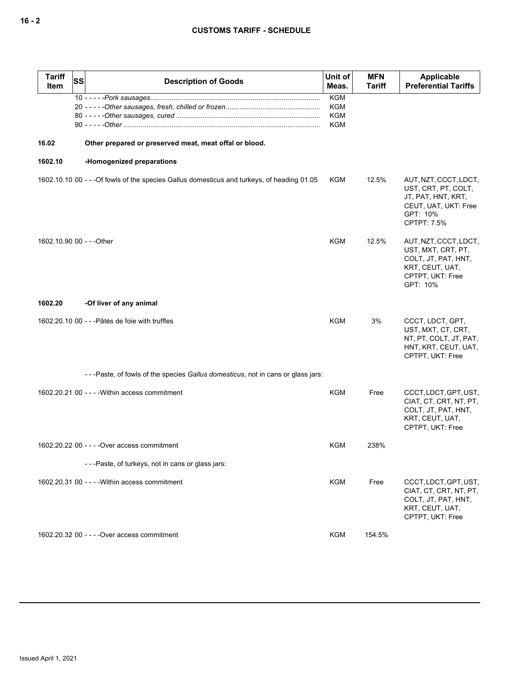| <b>Tariff</b><br><b>Item</b> | <b>SS</b> | <b>Description of Goods</b>                                                                 | Unit of<br>Meas.         | <b>MFN</b><br><b>Tariff</b> | Applicable<br><b>Preferential Tariffs</b>                                                                             |
|------------------------------|-----------|---------------------------------------------------------------------------------------------|--------------------------|-----------------------------|-----------------------------------------------------------------------------------------------------------------------|
|                              |           |                                                                                             | <b>KGM</b>               |                             |                                                                                                                       |
|                              |           |                                                                                             | <b>KGM</b><br><b>KGM</b> |                             |                                                                                                                       |
|                              |           |                                                                                             | KGM                      |                             |                                                                                                                       |
| 16.02                        |           | Other prepared or preserved meat, meat offal or blood.                                      |                          |                             |                                                                                                                       |
| 1602.10                      |           | -Homogenized preparations                                                                   |                          |                             |                                                                                                                       |
|                              |           | 1602.10.10 00 - - - Of fowls of the species Gallus domesticus and turkeys, of heading 01.05 | <b>KGM</b>               | 12.5%                       | AUT, NZT, CCCT, LDCT,<br>UST, CRT, PT, COLT,<br>JT, PAT, HNT, KRT,<br>CEUT, UAT, UKT: Free<br>GPT: 10%<br>CPTPT: 7.5% |
| 1602.10.90 00 - - - Other    |           |                                                                                             | KGM                      | 12.5%                       | AUT, NZT, CCCT, LDCT,<br>UST, MXT, CRT, PT,<br>COLT, JT, PAT, HNT,<br>KRT, CEUT, UAT,<br>CPTPT, UKT: Free<br>GPT: 10% |
| 1602.20                      |           | -Of liver of any animal                                                                     |                          |                             |                                                                                                                       |
|                              |           | 1602.20.10 00 - - - Pâtés de foie with truffles                                             | KGM                      | 3%                          | CCCT, LDCT, GPT,<br>UST, MXT, CT, CRT,<br>NT, PT, COLT, JT, PAT,<br>HNT, KRT, CEUT, UAT,<br>CPTPT, UKT: Free          |
|                              |           | - - -Paste, of fowls of the species <i>Gallus domesticus</i> , not in cans or glass jars:   |                          |                             |                                                                                                                       |
|                              |           | 1602.20.21 00 - - - - Within access commitment                                              | KGM                      | Free                        | CCCT, LDCT, GPT, UST,<br>CIAT, CT, CRT, NT, PT,<br>COLT, JT, PAT, HNT,<br>KRT, CEUT, UAT,<br>CPTPT, UKT: Free         |
|                              |           | 1602.20.22 00 - - - - Over access commitment                                                | KGM                      | 238%                        |                                                                                                                       |
|                              |           | ---Paste, of turkeys, not in cans or glass jars:                                            |                          |                             |                                                                                                                       |
|                              |           | 1602.20.31 00 - - - - Within access commitment                                              | <b>KGM</b>               | Free                        | CCCT, LDCT, GPT, UST,<br>CIAT, CT, CRT, NT, PT,<br>COLT, JT, PAT, HNT,<br>KRT, CEUT, UAT,<br>CPTPT, UKT: Free         |
|                              |           | 1602.20.32 00 - - - - Over access commitment                                                | KGM                      | 154.5%                      |                                                                                                                       |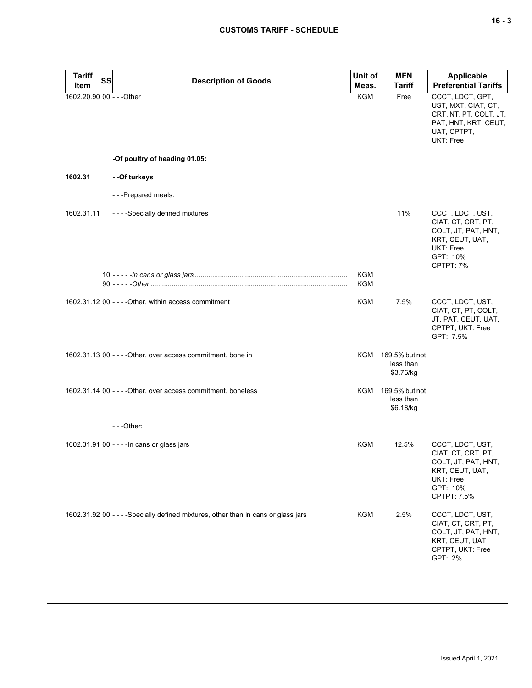| <b>Tariff</b><br>Item     | SS | <b>Description of Goods</b>                                                        | Unit of<br>Meas.  | <b>MFN</b><br><b>Tariff</b>                  | <b>Applicable</b><br><b>Preferential Tariffs</b>                                                                              |
|---------------------------|----|------------------------------------------------------------------------------------|-------------------|----------------------------------------------|-------------------------------------------------------------------------------------------------------------------------------|
| 1602.20.90 00 - - - Other |    |                                                                                    | KGM               | Free                                         | CCCT, LDCT, GPT,<br>UST, MXT, CIAT, CT,<br>CRT, NT, PT, COLT, JT,<br>PAT, HNT, KRT, CEUT,<br>UAT, CPTPT,<br>UKT: Free         |
|                           |    | -Of poultry of heading 01.05:                                                      |                   |                                              |                                                                                                                               |
| 1602.31                   |    | - - Of turkeys                                                                     |                   |                                              |                                                                                                                               |
|                           |    | - - - Prepared meals:                                                              |                   |                                              |                                                                                                                               |
| 1602.31.11                |    | - - - - Specially defined mixtures                                                 |                   | 11%                                          | CCCT, LDCT, UST,<br>CIAT, CT, CRT, PT,<br>COLT, JT, PAT, HNT,<br>KRT, CEUT, UAT,<br><b>UKT: Free</b><br>GPT: 10%<br>CPTPT: 7% |
|                           |    |                                                                                    | <b>KGM</b><br>KGM |                                              |                                                                                                                               |
|                           |    | 1602.31.12 00 - - - - Other, within access commitment                              | KGM               | 7.5%                                         | CCCT, LDCT, UST,<br>CIAT, CT, PT, COLT,<br>JT, PAT, CEUT, UAT,<br>CPTPT, UKT: Free<br>GPT: 7.5%                               |
|                           |    | 1602.31.13 00 - - - - Other, over access commitment, bone in                       | KGM               | 169.5% but not<br>less than<br>\$3.76/kg     |                                                                                                                               |
|                           |    | 1602.31.14 00 - - - - Other, over access commitment, boneless                      |                   | KGM 169.5% but not<br>less than<br>\$6.18/kg |                                                                                                                               |
|                           |    | $- -$ Other:                                                                       |                   |                                              |                                                                                                                               |
|                           |    | 1602.31.91 00 - - - - In cans or glass jars                                        | KGM               | 12.5%                                        | CCCT, LDCT, UST,<br>CIAT, CT, CRT, PT,<br>COLT, JT, PAT, HNT,<br>KRT, CEUT, UAT,<br>UKT: Free<br>GPT: 10%<br>CPTPT: 7.5%      |
|                           |    | 1602.31.92 00 - - - - Specially defined mixtures, other than in cans or glass jars | <b>KGM</b>        | 2.5%                                         | CCCT, LDCT, UST,<br>CIAT, CT, CRT, PT,<br>COLT, JT, PAT, HNT,<br>KRT, CEUT, UAT<br>CPTPT, UKT: Free<br>GPT: 2%                |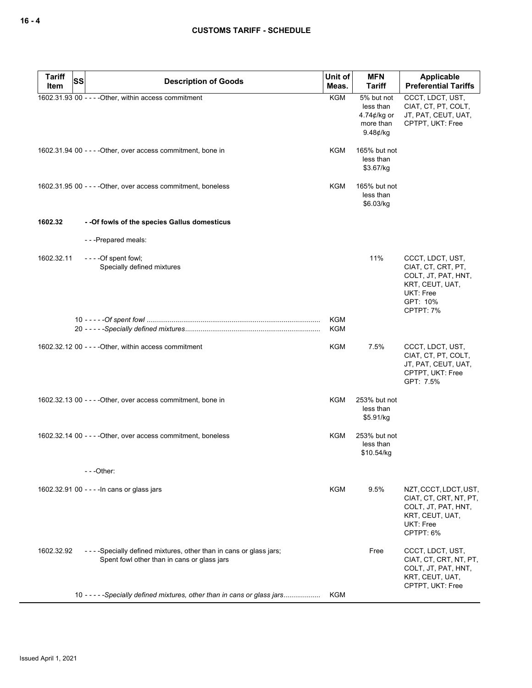| <b>Tariff</b><br>Item | SS | <b>Description of Goods</b>                                                                                      | Unit of<br>Meas.  | <b>MFN</b><br><b>Tariff</b>                                                  | Applicable<br><b>Preferential Tariffs</b>                                                                                     |
|-----------------------|----|------------------------------------------------------------------------------------------------------------------|-------------------|------------------------------------------------------------------------------|-------------------------------------------------------------------------------------------------------------------------------|
|                       |    | 1602.31.93 00 - - - - Other, within access commitment                                                            | <b>KGM</b>        | 5% but not<br>less than<br>4.74 $\not\in$ /kg or<br>more than<br>$9.48$ ¢/kg | CCCT, LDCT, UST,<br>CIAT, CT, PT, COLT,<br>JT, PAT, CEUT, UAT,<br>CPTPT, UKT: Free                                            |
|                       |    | 1602.31.94 00 - - - - Other, over access commitment, bone in                                                     | KGM               | 165% but not<br>less than<br>\$3.67/kg                                       |                                                                                                                               |
|                       |    | 1602.31.95 00 - - - - Other, over access commitment, boneless                                                    | <b>KGM</b>        | 165% but not<br>less than<br>\$6.03/kg                                       |                                                                                                                               |
| 1602.32               |    | - - Of fowls of the species Gallus domesticus                                                                    |                   |                                                                              |                                                                                                                               |
|                       |    | ---Prepared meals:                                                                                               |                   |                                                                              |                                                                                                                               |
| 1602.32.11            |    | Specially defined mixtures                                                                                       |                   | 11%                                                                          | CCCT, LDCT, UST,<br>CIAT, CT, CRT, PT,<br>COLT, JT, PAT, HNT,<br>KRT, CEUT, UAT,<br><b>UKT: Free</b><br>GPT: 10%<br>CPTPT: 7% |
|                       |    |                                                                                                                  | <b>KGM</b><br>KGM |                                                                              |                                                                                                                               |
|                       |    | 1602.32.12 00 - - - - Other, within access commitment                                                            | KGM               | 7.5%                                                                         | CCCT, LDCT, UST,<br>CIAT, CT, PT, COLT,<br>JT, PAT, CEUT, UAT,<br>CPTPT, UKT: Free<br>GPT: 7.5%                               |
|                       |    | 1602.32.13 00 - - - - Other, over access commitment, bone in                                                     | KGM               | 253% but not<br>less than<br>\$5.91/kg                                       |                                                                                                                               |
|                       |    | 1602.32.14 00 - - - - Other, over access commitment, boneless                                                    | KGM               | 253% but not<br>less than<br>\$10.54/kg                                      |                                                                                                                               |
|                       |    |                                                                                                                  |                   |                                                                              |                                                                                                                               |
|                       |    | 1602.32.91 00 - - - - In cans or glass jars                                                                      | KGM               | $9.5\%$                                                                      | NZT, CCCT, LDCT, UST,<br>CIAT, CT, CRT, NT, PT,<br>COLT, JT, PAT, HNT,<br>KRT, CEUT, UAT,<br>UKT: Free<br>CPTPT: 6%           |
| 1602.32.92            |    | ----Specially defined mixtures, other than in cans or glass jars;<br>Spent fowl other than in cans or glass jars |                   | Free                                                                         | CCCT, LDCT, UST,<br>CIAT, CT, CRT, NT, PT,<br>COLT, JT, PAT, HNT,<br>KRT, CEUT, UAT,<br>CPTPT, UKT: Free                      |
|                       |    | 10 - - - - - Specially defined mixtures, other than in cans or glass jars                                        | KGM               |                                                                              |                                                                                                                               |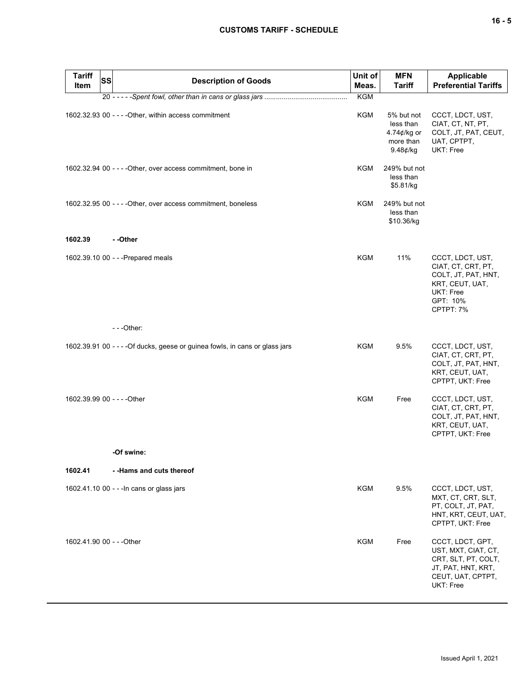| Tariff<br>Item              | <b>SS</b> | <b>Description of Goods</b>                                                  | Unit of<br>Meas. | <b>MFN</b><br><b>Tariff</b>                                        | Applicable<br><b>Preferential Tariffs</b>                                                                              |
|-----------------------------|-----------|------------------------------------------------------------------------------|------------------|--------------------------------------------------------------------|------------------------------------------------------------------------------------------------------------------------|
|                             |           |                                                                              | <b>KGM</b>       |                                                                    |                                                                                                                        |
|                             |           | 1602.32.93 00 - - - - Other, within access commitment                        | KGM              | 5% but not<br>less than<br>4.74¢/kg or<br>more than<br>$9.48¢$ /kg | CCCT, LDCT, UST,<br>CIAT, CT, NT, PT,<br>COLT, JT, PAT, CEUT,<br>UAT, CPTPT,<br>UKT: Free                              |
|                             |           | 1602.32.94 00 - - - - Other, over access commitment, bone in                 | KGM              | 249% but not<br>less than<br>\$5.81/kg                             |                                                                                                                        |
|                             |           | 1602.32.95 00 - - - - Other, over access commitment, boneless                | KGM              | 249% but not<br>less than<br>\$10.36/kg                            |                                                                                                                        |
| 1602.39                     |           | - -Other                                                                     |                  |                                                                    |                                                                                                                        |
|                             |           | 1602.39.10 00 - - - Prepared meals                                           | KGM              | 11%                                                                | CCCT, LDCT, UST,<br>CIAT, CT, CRT, PT,<br>COLT, JT, PAT, HNT,<br>KRT, CEUT, UAT,<br>UKT: Free<br>GPT: 10%<br>CPTPT: 7% |
|                             |           | $- -$ Other:                                                                 |                  |                                                                    |                                                                                                                        |
|                             |           | 1602.39.91 00 - - - - Of ducks, geese or guinea fowls, in cans or glass jars | KGM              | 9.5%                                                               | CCCT, LDCT, UST,<br>CIAT, CT, CRT, PT,<br>COLT, JT, PAT, HNT,<br>KRT, CEUT, UAT,<br>CPTPT, UKT: Free                   |
| 1602.39.99 00 - - - - Other |           |                                                                              | <b>KGM</b>       | Free                                                               | CCCT, LDCT, UST,<br>CIAT, CT, CRT, PT,<br>COLT, JT, PAT, HNT,<br>KRT, CEUT, UAT,<br>CPTPT, UKT: Free                   |
|                             |           | -Of swine:                                                                   |                  |                                                                    |                                                                                                                        |
| 1602.41                     |           | --Hams and cuts thereof                                                      |                  |                                                                    |                                                                                                                        |
|                             |           | 1602.41.10 00 - - - In cans or glass jars                                    | <b>KGM</b>       | 9.5%                                                               | CCCT, LDCT, UST,<br>MXT, CT, CRT, SLT,<br>PT, COLT, JT, PAT,<br>HNT, KRT, CEUT, UAT,<br>CPTPT, UKT: Free               |
| 1602.41.90 00 - - - Other   |           |                                                                              | KGM              | Free                                                               | CCCT, LDCT, GPT,<br>UST, MXT, CIAT, CT,<br>CRT, SLT, PT, COLT,<br>JT, PAT, HNT, KRT,<br>CEUT, UAT, CPTPT,<br>UKT: Free |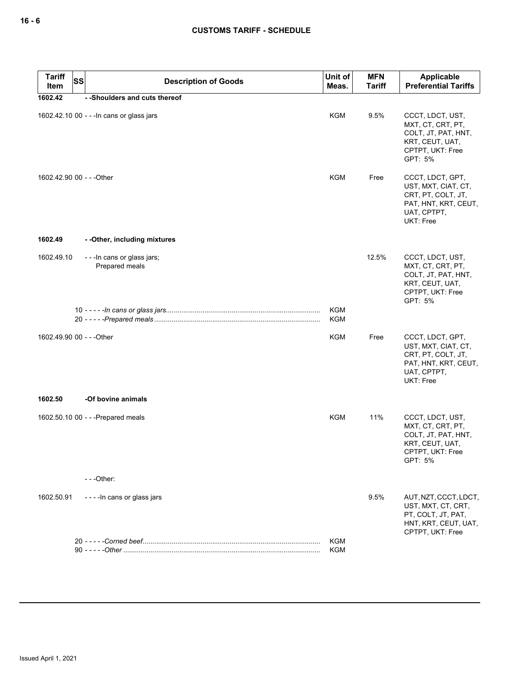| <b>Tariff</b><br><b>SS</b><br>Item | <b>Description of Goods</b>                    | Unit of<br>Meas.         | <b>MFN</b><br><b>Tariff</b> | Applicable<br><b>Preferential Tariffs</b>                                                                                |
|------------------------------------|------------------------------------------------|--------------------------|-----------------------------|--------------------------------------------------------------------------------------------------------------------------|
| 1602.42                            | - -Shoulders and cuts thereof                  |                          |                             |                                                                                                                          |
|                                    | 1602.42.10 00 - - - In cans or glass jars      | <b>KGM</b>               | 9.5%                        | CCCT, LDCT, UST,<br>MXT, CT, CRT, PT,<br>COLT, JT, PAT, HNT,<br>KRT, CEUT, UAT,<br>CPTPT, UKT: Free<br>GPT: 5%           |
| 1602.42.90 00 - - - Other          |                                                | <b>KGM</b>               | Free                        | CCCT, LDCT, GPT,<br>UST, MXT, CIAT, CT,<br>CRT, PT, COLT, JT,<br>PAT, HNT, KRT, CEUT,<br>UAT, CPTPT,<br><b>UKT: Free</b> |
| 1602.49                            | - - Other, including mixtures                  |                          |                             |                                                                                                                          |
| 1602.49.10                         | - - - In cans or glass jars;<br>Prepared meals |                          | 12.5%                       | CCCT, LDCT, UST,<br>MXT, CT, CRT, PT,<br>COLT, JT, PAT, HNT,<br>KRT, CEUT, UAT,<br>CPTPT, UKT: Free<br>GPT: 5%           |
|                                    |                                                | <b>KGM</b><br><b>KGM</b> |                             |                                                                                                                          |
| 1602.49.90 00 - - - Other          |                                                | <b>KGM</b>               | Free                        | CCCT, LDCT, GPT,<br>UST, MXT, CIAT, CT,<br>CRT, PT, COLT, JT,<br>PAT, HNT, KRT, CEUT,<br>UAT, CPTPT,<br>UKT: Free        |
| 1602.50                            | -Of bovine animals                             |                          |                             |                                                                                                                          |
|                                    | 1602.50.10 00 - - - Prepared meals             | <b>KGM</b>               | 11%                         | CCCT, LDCT, UST,<br>MXT, CT, CRT, PT,<br>COLT, JT, PAT, HNT,<br>KRT, CEUT, UAT,<br>CPTPT, UKT: Free<br>GPT: 5%           |
|                                    | $--$ Other:                                    |                          |                             |                                                                                                                          |
| 1602.50.91                         | - - - - In cans or glass jars                  |                          | 9.5%                        | AUT, NZT, CCCT, LDCT,<br>UST, MXT, CT, CRT,<br>PT, COLT, JT, PAT,<br>HNT, KRT, CEUT, UAT,<br>CPTPT, UKT: Free            |
|                                    |                                                | KGM<br>KGM               |                             |                                                                                                                          |
|                                    |                                                |                          |                             |                                                                                                                          |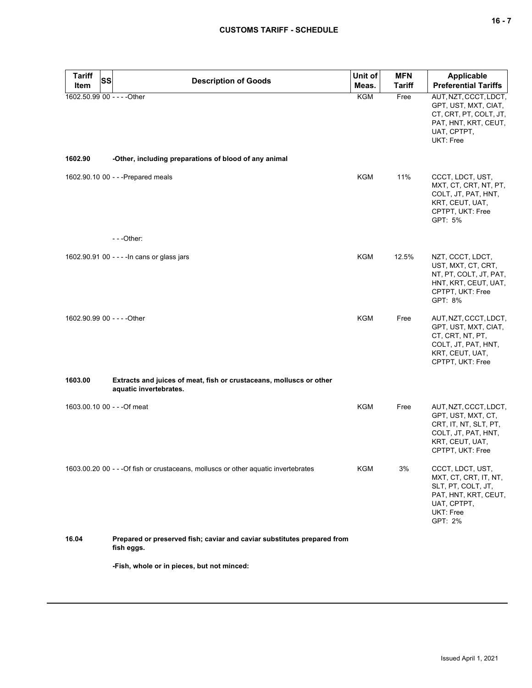| <b>Tariff</b><br>Item       | <b>SS</b> | <b>Description of Goods</b>                                                                   | Unit of<br>Meas. | <b>MFN</b><br><b>Tariff</b> | <b>Applicable</b><br><b>Preferential Tariffs</b>                                                                                   |
|-----------------------------|-----------|-----------------------------------------------------------------------------------------------|------------------|-----------------------------|------------------------------------------------------------------------------------------------------------------------------------|
| 1602.50.99 00 - - - - Other |           |                                                                                               | KGM              | Free                        | AUT, NZT, CCCT, LDCT,<br>GPT, UST, MXT, CIAT,<br>CT, CRT, PT, COLT, JT,<br>PAT, HNT, KRT, CEUT,<br>UAT, CPTPT,<br>UKT: Free        |
| 1602.90                     |           | -Other, including preparations of blood of any animal                                         |                  |                             |                                                                                                                                    |
|                             |           | 1602.90.10 00 - - - Prepared meals                                                            | <b>KGM</b>       | 11%                         | CCCT, LDCT, UST,<br>MXT, CT, CRT, NT, PT,<br>COLT, JT, PAT, HNT,<br>KRT, CEUT, UAT,<br>CPTPT, UKT: Free<br>GPT: 5%                 |
|                             |           | $- -$ Other:                                                                                  |                  |                             |                                                                                                                                    |
|                             |           | 1602.90.91 00 - - - - In cans or glass jars                                                   | KGM              | 12.5%                       | NZT, CCCT, LDCT,<br>UST, MXT, CT, CRT,<br>NT, PT, COLT, JT, PAT,<br>HNT, KRT, CEUT, UAT,<br>CPTPT, UKT: Free<br>GPT: 8%            |
| 1602.90.99 00 - - - - Other |           |                                                                                               | KGM              | Free                        | AUT, NZT, CCCT, LDCT,<br>GPT, UST, MXT, CIAT,<br>CT, CRT, NT, PT,<br>COLT, JT, PAT, HNT,<br>KRT, CEUT, UAT,<br>CPTPT, UKT: Free    |
| 1603.00                     |           | Extracts and juices of meat, fish or crustaceans, molluscs or other<br>aquatic invertebrates. |                  |                             |                                                                                                                                    |
|                             |           | 1603.00.10 00 - - - Of meat                                                                   | KGM              | Free                        | AUT, NZT, CCCT, LDCT,<br>GPT, UST, MXT, CT,<br>CRT, IT, NT, SLT, PT,<br>COLT, JT, PAT, HNT,<br>KRT, CEUT, UAT,<br>CPTPT, UKT: Free |
|                             |           | 1603.00.20 00 - - - Of fish or crustaceans, molluscs or other aquatic invertebrates           | KGM              | 3%                          | CCCT, LDCT, UST,<br>MXT, CT, CRT, IT, NT,<br>SLT, PT, COLT, JT,<br>PAT, HNT, KRT, CEUT,<br>UAT, CPTPT,<br>UKT: Free<br>GPT: 2%     |
| 16.04                       |           | Prepared or preserved fish; caviar and caviar substitutes prepared from<br>fish eggs.         |                  |                             |                                                                                                                                    |
|                             |           | -Fish, whole or in pieces, but not minced:                                                    |                  |                             |                                                                                                                                    |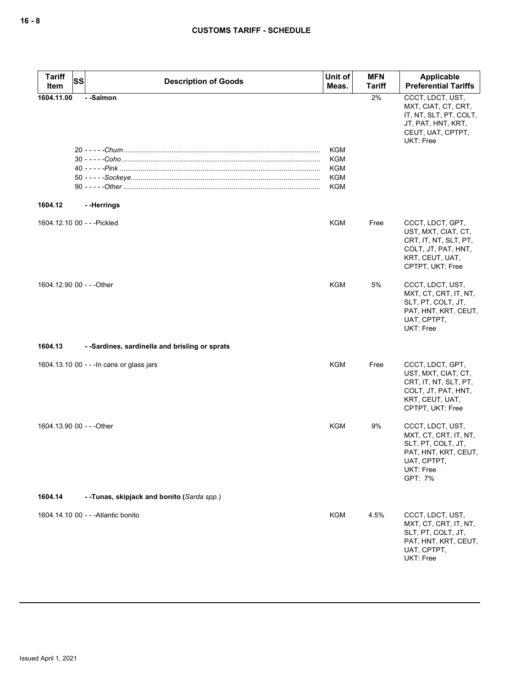| <b>Tariff</b><br>Item       | <b>SS</b> | <b>Description of Goods</b>                    | Unit of<br>Meas.                | <b>MFN</b><br><b>Tariff</b> | Applicable<br><b>Preferential Tariffs</b>                                                                                      |
|-----------------------------|-----------|------------------------------------------------|---------------------------------|-----------------------------|--------------------------------------------------------------------------------------------------------------------------------|
| 1604.11.00                  |           | --Salmon                                       | KGM<br>KGM<br>KGM<br>KGM<br>KGM | 2%                          | CCCT, LDCT, UST,<br>MXT, CIAT, CT, CRT,<br>IT, NT, SLT, PT, COLT,<br>JT, PAT, HNT, KRT,<br>CEUT, UAT, CPTPT,<br>UKT: Free      |
| 1604.12                     |           | --Herrings                                     |                                 |                             |                                                                                                                                |
| 1604.12.10 00 - - - Pickled |           |                                                | KGM                             | Free                        | CCCT, LDCT, GPT,<br>UST, MXT, CIAT, CT,<br>CRT, IT, NT, SLT, PT,<br>COLT, JT, PAT, HNT,<br>KRT, CEUT, UAT,<br>CPTPT, UKT: Free |
| 1604.12.90 00 - - - Other   |           |                                                | KGM                             | 5%                          | CCCT, LDCT, UST,<br>MXT, CT, CRT, IT, NT,<br>SLT, PT, COLT, JT,<br>PAT, HNT, KRT, CEUT,<br>UAT, CPTPT,<br><b>UKT: Free</b>     |
| 1604.13                     |           | - -Sardines, sardinella and brisling or sprats |                                 |                             |                                                                                                                                |
|                             |           | 1604.13.10 00 - - - In cans or glass jars      | KGM                             | Free                        | CCCT, LDCT, GPT,<br>UST, MXT, CIAT, CT,<br>CRT, IT, NT, SLT, PT,<br>COLT, JT, PAT, HNT,<br>KRT, CEUT, UAT,<br>CPTPT, UKT: Free |
| 1604.13.90 00 - - - Other   |           |                                                | KGM                             | 9%                          | CCCT, LDCT, UST,<br>MXT, CT, CRT, IT, NT,<br>SLT, PT, COLT, JT,<br>PAT, HNT, KRT, CEUT,<br>UAT, CPTPT,<br>UKT: Free<br>GPT: 7% |
| 1604.14                     |           | --Tunas, skipjack and bonito (Sarda spp.)      |                                 |                             |                                                                                                                                |
|                             |           | 1604.14.10 00 - - - Atlantic bonito            | <b>KGM</b>                      | 4.5%                        | CCCT, LDCT, UST,<br>MXT, CT, CRT, IT, NT,<br>SLT, PT, COLT, JT,<br>PAT, HNT, KRT, CEUT,<br>UAT, CPTPT,<br>UKT: Free            |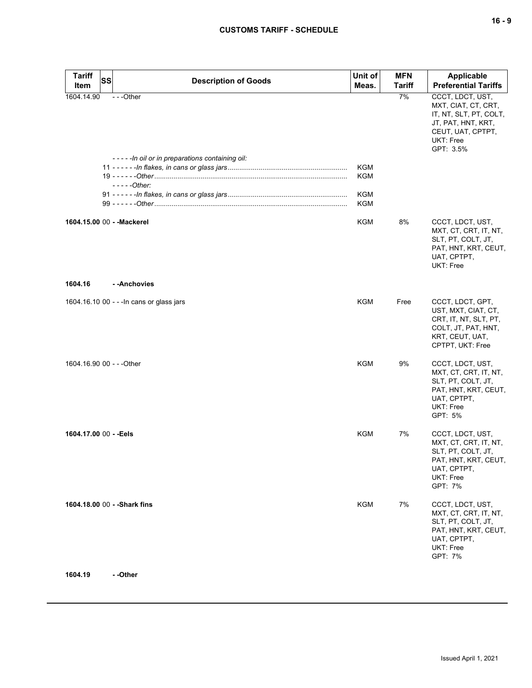| × |  | ×<br>۰. |
|---|--|---------|
|---|--|---------|

| <b>Tariff</b>              | <b>SS</b> | <b>Description of Goods</b>                                | Unit of    | <b>MFN</b>    | <b>Applicable</b>                                                                                                                      |
|----------------------------|-----------|------------------------------------------------------------|------------|---------------|----------------------------------------------------------------------------------------------------------------------------------------|
| Item                       |           |                                                            | Meas.      | <b>Tariff</b> | <b>Preferential Tariffs</b>                                                                                                            |
| 1604.14.90                 |           | ---Other<br>-----In oil or in preparations containing oil: |            | 7%            | CCCT, LDCT, UST,<br>MXT, CIAT, CT, CRT,<br>IT, NT, SLT, PT, COLT,<br>JT, PAT, HNT, KRT,<br>CEUT, UAT, CPTPT,<br>UKT: Free<br>GPT: 3.5% |
|                            |           |                                                            | <b>KGM</b> |               |                                                                                                                                        |
|                            |           |                                                            | <b>KGM</b> |               |                                                                                                                                        |
|                            |           | $---Other:$                                                |            |               |                                                                                                                                        |
|                            |           |                                                            | <b>KGM</b> |               |                                                                                                                                        |
|                            |           |                                                            | <b>KGM</b> |               |                                                                                                                                        |
| 1604.15.00 00 - - Mackerel |           |                                                            | <b>KGM</b> | 8%            | CCCT, LDCT, UST,<br>MXT, CT, CRT, IT, NT,<br>SLT, PT, COLT, JT,<br>PAT, HNT, KRT, CEUT,<br>UAT, CPTPT,<br>UKT: Free                    |
| 1604.16                    |           | - - Anchovies                                              |            |               |                                                                                                                                        |
|                            |           | 1604.16.10 00 - - - In cans or glass jars                  | <b>KGM</b> | Free          | CCCT, LDCT, GPT,<br>UST, MXT, CIAT, CT,<br>CRT, IT, NT, SLT, PT,<br>COLT, JT, PAT, HNT,<br>KRT, CEUT, UAT,<br>CPTPT, UKT: Free         |
| 1604.16.90 00 - - - Other  |           |                                                            | <b>KGM</b> | 9%            | CCCT, LDCT, UST,<br>MXT, CT, CRT, IT, NT,<br>SLT, PT, COLT, JT,<br>PAT, HNT, KRT, CEUT,<br>UAT, CPTPT,<br><b>UKT: Free</b><br>GPT: 5%  |
| 1604.17.00 00 - - Eels     |           |                                                            | <b>KGM</b> | 7%            | CCCT, LDCT, UST,<br>MXT, CT, CRT, IT, NT,<br>SLT, PT, COLT, JT,<br>PAT, HNT, KRT, CEUT,<br>UAT, CPTPT,<br>UKT: Free<br>GPT: 7%         |
|                            |           | 1604.18.00 00 - - Shark fins                               | <b>KGM</b> | 7%            | CCCT, LDCT, UST,<br>MXT, CT, CRT, IT, NT,<br>SLT, PT, COLT, JT,<br>PAT, HNT, KRT, CEUT,<br>UAT, CPTPT,<br>UKT: Free<br>GPT: 7%         |

**1604.19 - -Other**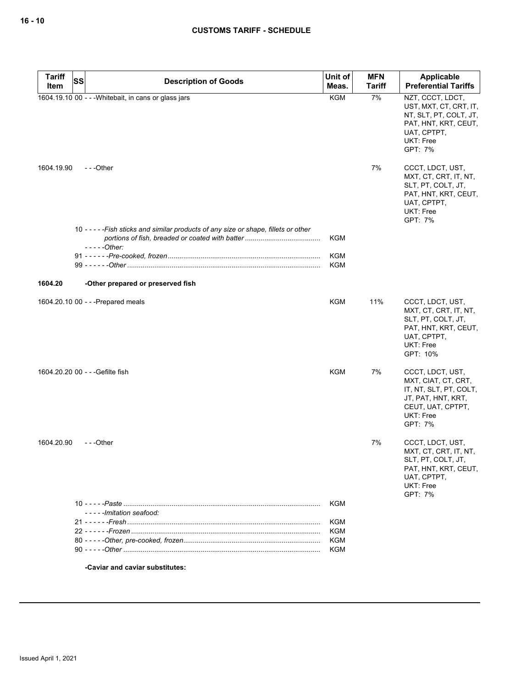| <b>Tariff</b> | <b>SS</b> |                                                                                      | Unit of                  | <b>MFN</b>    | Applicable                                                                                                                                                                              |
|---------------|-----------|--------------------------------------------------------------------------------------|--------------------------|---------------|-----------------------------------------------------------------------------------------------------------------------------------------------------------------------------------------|
| Item          |           | <b>Description of Goods</b>                                                          | Meas.                    | <b>Tariff</b> | <b>Preferential Tariffs</b>                                                                                                                                                             |
| 1604.19.90    |           | 1604.19.10 00 - - - Whitebait, in cans or glass jars<br>$- -$ Other                  | <b>KGM</b>               | 7%<br>7%      | NZT, CCCT, LDCT,<br>UST, MXT, CT, CRT, IT,<br>NT, SLT, PT, COLT, JT,<br>PAT, HNT, KRT, CEUT,<br>UAT, CPTPT,<br><b>UKT: Free</b><br>GPT: 7%<br>CCCT, LDCT, UST,<br>MXT, CT, CRT, IT, NT, |
|               |           |                                                                                      |                          |               | SLT, PT, COLT, JT,<br>PAT, HNT, KRT, CEUT,<br>UAT, CPTPT,<br><b>UKT: Free</b><br>GPT: 7%                                                                                                |
|               |           | 10 - - - - - Fish sticks and similar products of any size or shape, fillets or other | KGM                      |               |                                                                                                                                                                                         |
|               |           | - - - - -Other:                                                                      |                          |               |                                                                                                                                                                                         |
|               |           |                                                                                      | <b>KGM</b><br><b>KGM</b> |               |                                                                                                                                                                                         |
|               |           |                                                                                      |                          |               |                                                                                                                                                                                         |
| 1604.20       |           | -Other prepared or preserved fish                                                    |                          |               |                                                                                                                                                                                         |
|               |           | 1604.20.10 00 - - - Prepared meals                                                   | KGM                      | 11%           | CCCT, LDCT, UST,<br>MXT, CT, CRT, IT, NT,<br>SLT, PT, COLT, JT,<br>PAT, HNT, KRT, CEUT,<br>UAT, CPTPT,<br>UKT: Free<br>GPT: 10%                                                         |
|               |           | 1604.20.20 00 - - - Gefilte fish                                                     | KGM                      | 7%            | CCCT, LDCT, UST,<br>MXT, CIAT, CT, CRT,<br>IT, NT, SLT, PT, COLT,<br>JT, PAT, HNT, KRT,<br>CEUT, UAT, CPTPT,<br><b>UKT: Free</b><br>GPT: 7%                                             |
| 1604.20.90    |           | ---Other                                                                             |                          | 7%            | CCCT, LDCT, UST,<br>MXT, CT, CRT, IT, NT,<br>SLT, PT, COLT, JT,<br>PAT, HNT, KRT, CEUT,<br>UAT, CPTPT,<br><b>UKT: Free</b><br>GPT: 7%                                                   |
|               |           | -----Imitation seafood:                                                              | KGM                      |               |                                                                                                                                                                                         |
|               |           |                                                                                      | <b>KGM</b>               |               |                                                                                                                                                                                         |
|               |           |                                                                                      | KGM                      |               |                                                                                                                                                                                         |
|               |           |                                                                                      | KGM                      |               |                                                                                                                                                                                         |
|               |           |                                                                                      | KGM                      |               |                                                                                                                                                                                         |

**-Caviar and caviar substitutes:**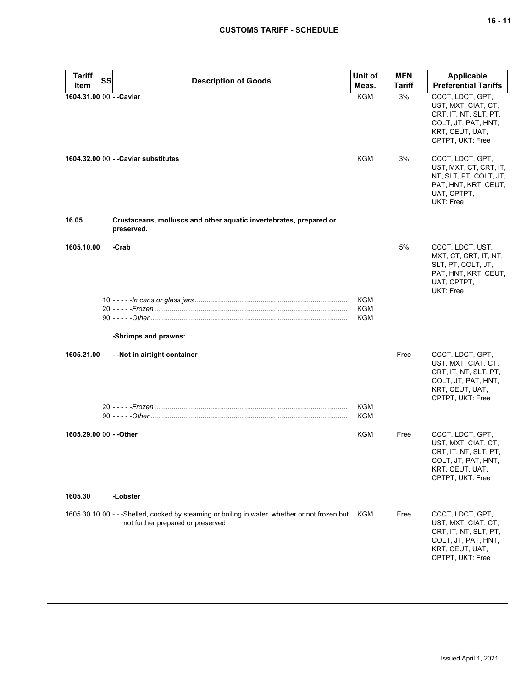# **CUSTOMS TARIFF - SCHEDULE**

| <b>Tariff</b>                    | SS | <b>Description of Goods</b>                                                                                                            | Unit of             | <b>MFN</b>          | <b>Applicable</b>                                                                                                              |
|----------------------------------|----|----------------------------------------------------------------------------------------------------------------------------------------|---------------------|---------------------|--------------------------------------------------------------------------------------------------------------------------------|
| Item<br>1604.31.00 00 - - Caviar |    |                                                                                                                                        | Meas.<br><b>KGM</b> | <b>Tariff</b><br>3% | <b>Preferential Tariffs</b><br>CCCT, LDCT, GPT,                                                                                |
|                                  |    |                                                                                                                                        |                     |                     | UST, MXT, CIAT, CT,<br>CRT, IT, NT, SLT, PT,<br>COLT, JT, PAT, HNT,<br>KRT, CEUT, UAT,<br>CPTPT, UKT: Free                     |
|                                  |    | 1604.32.00 00 - - Caviar substitutes                                                                                                   | KGM                 | 3%                  | CCCT, LDCT, GPT,<br>UST, MXT, CT, CRT, IT,<br>NT, SLT, PT, COLT, JT,<br>PAT, HNT, KRT, CEUT,<br>UAT, CPTPT,<br>UKT: Free       |
| 16.05                            |    | Crustaceans, molluscs and other aquatic invertebrates, prepared or<br>preserved.                                                       |                     |                     |                                                                                                                                |
| 1605.10.00                       |    | -Crab                                                                                                                                  |                     | 5%                  | CCCT, LDCT, UST,<br>MXT, CT, CRT, IT, NT,<br>SLT, PT, COLT, JT,<br>PAT, HNT, KRT, CEUT,<br>UAT, CPTPT,<br>UKT: Free            |
|                                  |    |                                                                                                                                        | KGM                 |                     |                                                                                                                                |
|                                  |    |                                                                                                                                        | KGM<br>KGM          |                     |                                                                                                                                |
|                                  |    | -Shrimps and prawns:                                                                                                                   |                     |                     |                                                                                                                                |
|                                  |    |                                                                                                                                        |                     |                     |                                                                                                                                |
| 1605.21.00                       |    | - - Not in airtight container                                                                                                          |                     | Free                | CCCT, LDCT, GPT,<br>UST, MXT, CIAT, CT,<br>CRT, IT, NT, SLT, PT,<br>COLT, JT, PAT, HNT,<br>KRT, CEUT, UAT,<br>CPTPT, UKT: Free |
|                                  |    |                                                                                                                                        | KGM<br>KGM          |                     |                                                                                                                                |
| 1605.29.00 00 - - Other          |    |                                                                                                                                        | KGM                 | Free                | CCCT, LDCT, GPT,<br>UST, MXT, CIAT, CT,<br>CRT, IT, NT, SLT, PT,<br>COLT, JT, PAT, HNT,<br>KRT, CEUT, UAT,<br>CPTPT, UKT: Free |
| 1605.30                          |    | -Lobster                                                                                                                               |                     |                     |                                                                                                                                |
|                                  |    | 1605.30.10 00 - - -Shelled, cooked by steaming or boiling in water, whether or not frozen but KGM<br>not further prepared or preserved |                     | Free                | CCCT, LDCT, GPT,<br>UST, MXT, CIAT, CT,<br>CRT, IT, NT, SLT, PT,<br>COLT, JT, PAT, HNT,<br>KRT, CEUT, UAT,<br>CPTPT, UKT: Free |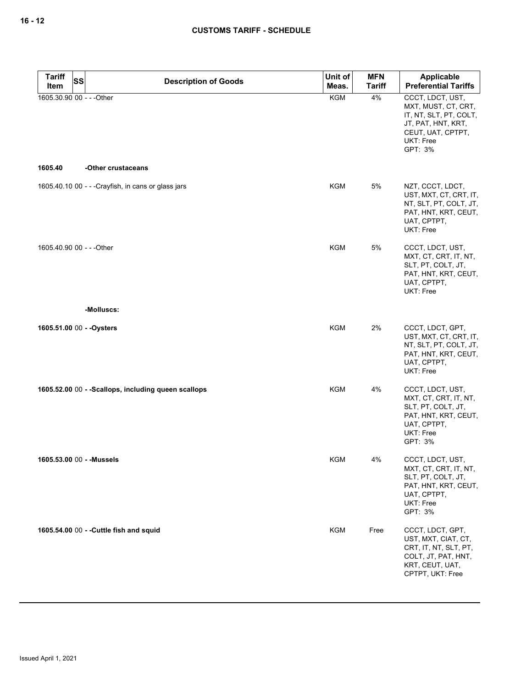| <b>Tariff</b>             | <b>SS</b><br><b>Description of Goods</b>             | Unit of    | <b>MFN</b>    | Applicable                                                                                                                                  |
|---------------------------|------------------------------------------------------|------------|---------------|---------------------------------------------------------------------------------------------------------------------------------------------|
| Item                      |                                                      | Meas.      | <b>Tariff</b> | <b>Preferential Tariffs</b>                                                                                                                 |
| 1605.30.90 00 - - - Other |                                                      | <b>KGM</b> | 4%            | CCCT, LDCT, UST,<br>MXT, MUST, CT, CRT,<br>IT, NT, SLT, PT, COLT,<br>JT, PAT, HNT, KRT,<br>CEUT, UAT, CPTPT,<br><b>UKT: Free</b><br>GPT: 3% |
| 1605.40                   | -Other crustaceans                                   |            |               |                                                                                                                                             |
|                           | 1605.40.10 00 - - - Crayfish, in cans or glass jars  | <b>KGM</b> | 5%            | NZT, CCCT, LDCT,<br>UST, MXT, CT, CRT, IT,<br>NT, SLT, PT, COLT, JT,<br>PAT, HNT, KRT, CEUT,<br>UAT, CPTPT,<br>UKT: Free                    |
| 1605.40.90 00 - - - Other |                                                      | <b>KGM</b> | 5%            | CCCT, LDCT, UST,<br>MXT, CT, CRT, IT, NT,<br>SLT, PT, COLT, JT,<br>PAT, HNT, KRT, CEUT,<br>UAT, CPTPT,<br><b>UKT: Free</b>                  |
|                           | -Molluscs:                                           |            |               |                                                                                                                                             |
| 1605.51.00 00 - - Oysters |                                                      | <b>KGM</b> | 2%            | CCCT, LDCT, GPT,<br>UST, MXT, CT, CRT, IT,<br>NT, SLT, PT, COLT, JT,<br>PAT, HNT, KRT, CEUT,<br>UAT, CPTPT,<br>UKT: Free                    |
|                           | 1605.52.00 00 - - Scallops, including queen scallops | <b>KGM</b> | 4%            | CCCT, LDCT, UST,<br>MXT, CT, CRT, IT, NT,<br>SLT, PT, COLT, JT,<br>PAT, HNT, KRT, CEUT,<br>UAT, CPTPT,<br>UKT: Free<br>GPT: 3%              |
|                           | 1605.53.00 00 - - Mussels                            | KGM        | 4%            | CCCT, LDCT, UST,<br>MXT, CT, CRT, IT, NT,<br>SLT, PT, COLT, JT,<br>PAT, HNT, KRT, CEUT,<br>UAT, CPTPT,<br>UKT: Free<br>GPT: 3%              |
|                           | 1605.54.00 00 - - Cuttle fish and squid              | <b>KGM</b> | Free          | CCCT, LDCT, GPT,<br>UST, MXT, CIAT, CT,<br>CRT, IT, NT, SLT, PT,<br>COLT, JT, PAT, HNT,<br>KRT, CEUT, UAT,<br>CPTPT, UKT: Free              |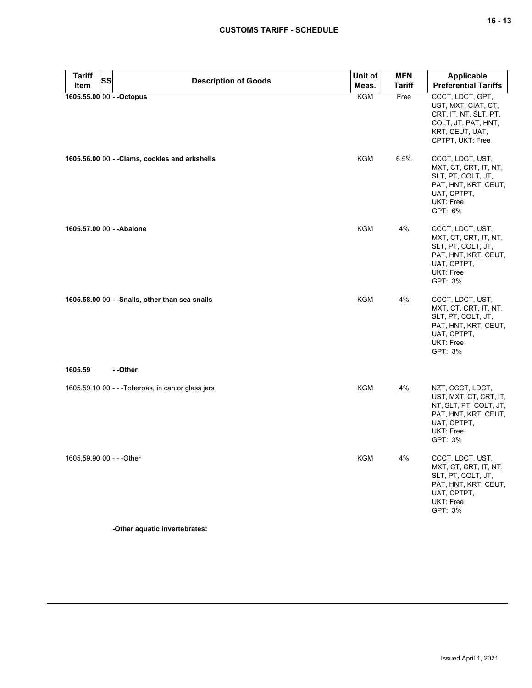# **CUSTOMS TARIFF - SCHEDULE**

| Tariff<br>Item            | SS | <b>Description of Goods</b>                        | Unit of<br>Meas. | <b>MFN</b><br><b>Tariff</b> | <b>Applicable</b><br><b>Preferential Tariffs</b>                                                                                    |  |
|---------------------------|----|----------------------------------------------------|------------------|-----------------------------|-------------------------------------------------------------------------------------------------------------------------------------|--|
|                           |    | 1605.55.00 00 - - Octopus                          | <b>KGM</b>       | Free                        | CCCT, LDCT, GPT,<br>UST, MXT, CIAT, CT,<br>CRT, IT, NT, SLT, PT,<br>COLT, JT, PAT, HNT,<br>KRT, CEUT, UAT,<br>CPTPT, UKT: Free      |  |
|                           |    | 1605.56.00 00 - - Clams, cockles and arkshells     | KGM              | 6.5%                        | CCCT, LDCT, UST,<br>MXT, CT, CRT, IT, NT,<br>SLT, PT, COLT, JT,<br>PAT, HNT, KRT, CEUT,<br>UAT, CPTPT,<br>UKT: Free<br>GPT: 6%      |  |
| 1605.57.00 00 - - Abalone |    |                                                    | <b>KGM</b>       | 4%                          | CCCT, LDCT, UST,<br>MXT, CT, CRT, IT, NT,<br>SLT, PT, COLT, JT,<br>PAT, HNT, KRT, CEUT,<br>UAT, CPTPT,<br>UKT: Free<br>GPT: 3%      |  |
|                           |    | 1605.58.00 00 - - Snails, other than sea snails    | KGM              | 4%                          | CCCT, LDCT, UST,<br>MXT, CT, CRT, IT, NT,<br>SLT, PT, COLT, JT,<br>PAT, HNT, KRT, CEUT,<br>UAT, CPTPT,<br>UKT: Free<br>GPT: 3%      |  |
| 1605.59<br>- -Other       |    |                                                    |                  |                             |                                                                                                                                     |  |
|                           |    | 1605.59.10 00 - - - Toheroas, in can or glass jars | KGM              | 4%                          | NZT, CCCT, LDCT,<br>UST, MXT, CT, CRT, IT,<br>NT, SLT, PT, COLT, JT,<br>PAT, HNT, KRT, CEUT,<br>UAT, CPTPT,<br>UKT: Free<br>GPT: 3% |  |
| 1605.59.90 00 - - - Other |    |                                                    | <b>KGM</b>       | 4%                          | CCCT, LDCT, UST,<br>MXT, CT, CRT, IT, NT,<br>SLT, PT, COLT, JT,<br>PAT, HNT, KRT, CEUT,<br>UAT, CPTPT,<br>UKT: Free<br>GPT: 3%      |  |

**-Other aquatic invertebrates:**